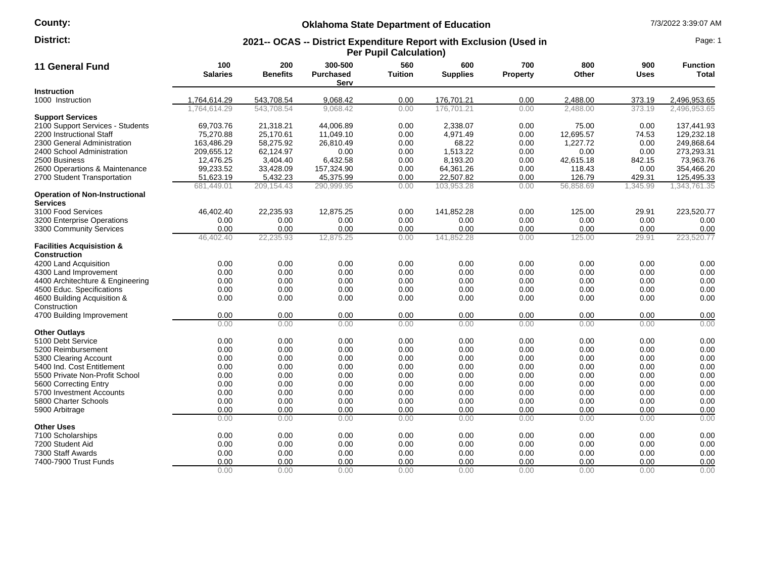# **County:**

# **Oklahoma State Department of Education** 7/3/2022 3:39:07 AM

#### **2021-- OCAS -- District Expenditure Report with Exclusion (Used in Per Pupil Calculation) District:** Page: 1

| 11 General Fund                                             | 100<br><b>Salaries</b> | 200<br><b>Benefits</b> | 300-500<br><b>Purchased</b><br>Serv | 560<br><b>Tuition</b> | 600<br><b>Supplies</b> | 700<br>Property | 800<br>Other | 900<br>Uses | <b>Function</b><br>Total |
|-------------------------------------------------------------|------------------------|------------------------|-------------------------------------|-----------------------|------------------------|-----------------|--------------|-------------|--------------------------|
| <b>Instruction</b>                                          |                        |                        |                                     |                       |                        |                 |              |             |                          |
| 1000 Instruction                                            | 1,764,614.29           | 543,708.54             | 9,068.42                            | 0.00                  | 176,701.21             | 0.00            | 2,488.00     | 373.19      | 2,496,953.65             |
|                                                             | 1.764.614.29           | 543.708.54             | 9.068.42                            | 0.00                  | 176.701.21             | 0.00            | 2.488.00     | 373.19      | 2,496,953.65             |
| <b>Support Services</b>                                     |                        |                        |                                     |                       |                        |                 |              |             |                          |
| 2100 Support Services - Students                            | 69,703.76              | 21,318.21              | 44,006.89                           | 0.00                  | 2,338.07               | 0.00            | 75.00        | 0.00        | 137,441.93               |
| 2200 Instructional Staff                                    | 75,270.88              | 25,170.61              | 11,049.10                           | 0.00                  | 4,971.49               | 0.00            | 12,695.57    | 74.53       | 129,232.18               |
| 2300 General Administration                                 | 163.486.29             | 58.275.92              | 26.810.49                           | 0.00                  | 68.22                  | 0.00            | 1.227.72     | 0.00        | 249.868.64               |
| 2400 School Administration                                  | 209,655.12             | 62,124.97              | 0.00                                | 0.00                  | 1,513.22               | 0.00            | 0.00         | 0.00        | 273,293.31               |
| 2500 Business                                               | 12,476.25              | 3,404.40               | 6,432.58                            | 0.00                  | 8,193.20               | 0.00            | 42,615.18    | 842.15      | 73,963.76                |
| 2600 Operartions & Maintenance                              | 99,233.52              | 33,428.09              | 157,324.90                          | 0.00                  | 64,361.26              | 0.00            | 118.43       | 0.00        | 354,466.20               |
| 2700 Student Transportation                                 | 51,623.19              | 5,432.23               | 45,375.99                           | 0.00                  | 22,507.82              | 0.00            | 126.79       | 429.31      | 125,495.33               |
|                                                             | 681,449.01             | 209,154.43             | 290,999.95                          | 0.00                  | 103,953.28             | 0.00            | 56,858.69    | 1,345.99    | 1.343.761.35             |
| <b>Operation of Non-Instructional</b><br><b>Services</b>    |                        |                        |                                     |                       |                        |                 |              |             |                          |
| 3100 Food Services                                          | 46,402.40              | 22,235.93              | 12,875.25                           | 0.00                  | 141,852.28             | 0.00            | 125.00       | 29.91       | 223,520.77               |
| 3200 Enterprise Operations                                  | 0.00                   | 0.00                   | 0.00                                | 0.00                  | 0.00                   | 0.00            | 0.00         | 0.00        | 0.00                     |
| 3300 Community Services                                     | 0.00                   | 0.00                   | 0.00                                | 0.00                  | 0.00                   | 0.00            | 0.00         | 0.00        | 0.00                     |
|                                                             | 46,402.40              | 22,235.93              | 12,875.25                           | 0.00                  | 141,852.28             | 0.00            | 125.00       | 29.91       | 223,520.77               |
| <b>Facilities Acquisistion &amp;</b><br><b>Construction</b> |                        |                        |                                     |                       |                        |                 |              |             |                          |
| 4200 Land Acquisition                                       | 0.00                   | 0.00                   | 0.00                                | 0.00                  | 0.00                   | 0.00            | 0.00         | 0.00        | 0.00                     |
| 4300 Land Improvement                                       | 0.00                   | 0.00                   | 0.00                                | 0.00                  | 0.00                   | 0.00            | 0.00         | 0.00        | 0.00                     |
| 4400 Architechture & Engineering                            | 0.00                   | 0.00                   | 0.00                                | 0.00                  | 0.00                   | 0.00            | 0.00         | 0.00        | 0.00                     |
| 4500 Educ. Specifications                                   | 0.00                   | 0.00                   | 0.00                                | 0.00                  | 0.00                   | 0.00            | 0.00         | 0.00        | 0.00                     |
| 4600 Building Acquisition &                                 | 0.00                   | 0.00                   | 0.00                                | 0.00                  | 0.00                   | 0.00            | 0.00         | 0.00        | 0.00                     |
| Construction                                                |                        |                        |                                     |                       |                        |                 |              |             |                          |
| 4700 Building Improvement                                   | 0.00                   | 0.00                   | 0.00                                | 0.00                  | 0.00                   | 0.00            | 0.00         | 0.00        | 0.00                     |
|                                                             | 0.00                   | 0.00                   | 0.00                                | 0.00                  | 0.00                   | 0.00            | 0.00         | 0.00        | 0.00                     |
| <b>Other Outlays</b>                                        |                        |                        |                                     |                       |                        |                 |              |             |                          |
| 5100 Debt Service                                           | 0.00                   | 0.00                   | 0.00                                | 0.00                  | 0.00                   | 0.00            | 0.00         | 0.00        | 0.00                     |
| 5200 Reimbursement                                          | 0.00                   | 0.00                   | 0.00                                | 0.00                  | 0.00                   | 0.00            | 0.00         | 0.00        | 0.00                     |
| 5300 Clearing Account                                       | 0.00                   | 0.00                   | 0.00                                | 0.00                  | 0.00                   | 0.00            | 0.00         | 0.00        | 0.00                     |
| 5400 Ind. Cost Entitlement                                  | 0.00                   | 0.00                   | 0.00                                | 0.00                  | 0.00                   | 0.00            | 0.00         | 0.00        | 0.00                     |
| 5500 Private Non-Profit School                              | 0.00                   | 0.00                   | 0.00                                | 0.00                  | 0.00                   | 0.00            | 0.00         | 0.00        | 0.00                     |
| 5600 Correcting Entry                                       | 0.00                   | 0.00                   | 0.00                                | 0.00                  | 0.00                   | 0.00            | 0.00         | 0.00        | 0.00                     |
| 5700 Investment Accounts                                    | 0.00                   | 0.00                   | 0.00                                | 0.00                  | 0.00                   | 0.00            | 0.00         | 0.00        | 0.00                     |
| 5800 Charter Schools                                        | 0.00                   | 0.00                   | 0.00                                | 0.00                  | 0.00                   | 0.00            | 0.00         | 0.00        | 0.00                     |
| 5900 Arbitrage                                              | 0.00                   | 0.00                   | 0.00                                | 0.00                  | 0.00                   | 0.00            | 0.00         | 0.00        | 0.00                     |
|                                                             | 0.00                   | 0.00                   | 0.00                                | 0.00                  | 0.00                   | 0.00            | 0.00         | 0.00        | 0.00                     |
| <b>Other Uses</b>                                           |                        |                        |                                     |                       |                        |                 |              |             |                          |
| 7100 Scholarships                                           | 0.00                   | 0.00                   | 0.00                                | 0.00                  | 0.00                   | 0.00            | 0.00         | 0.00        | 0.00                     |
| 7200 Student Aid                                            | 0.00                   | 0.00                   | 0.00                                | 0.00                  | 0.00                   | 0.00            | 0.00         | 0.00        | 0.00                     |
| 7300 Staff Awards                                           | 0.00                   | 0.00                   | 0.00                                | 0.00                  | 0.00                   | 0.00            | 0.00         | 0.00        | 0.00                     |
| 7400-7900 Trust Funds                                       | 0.00                   | 0.00                   | 0.00                                | 0.00                  | 0.00                   | 0.00            | 0.00         | 0.00        | 0.00                     |
|                                                             | 0.00                   | 0.00                   | 0.00                                | 0.00                  | 0.00                   | 0.00            | 0.00         | 0.00        | 0.00                     |
|                                                             |                        |                        |                                     |                       |                        |                 |              |             |                          |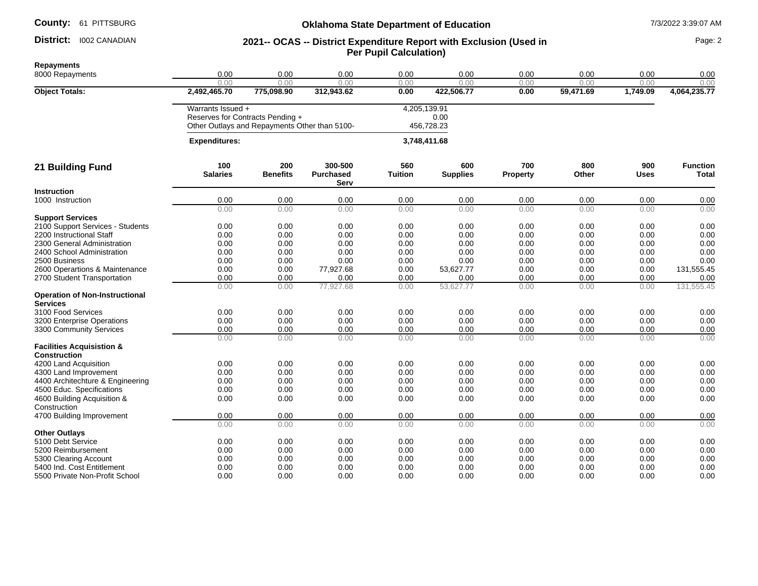### District: 1002 CANADIAN

## **Oklahoma State Department of Education** 7/3/2022 3:39:07 AM

## District: I002 CANADIAN **1998 12021 - COAS -- District Expenditure Report with Exclusion (Used in Page: 2** Page: 2 **Per Pupil Calculation)**

**Repayments** 8000 Repayments 0.00 0.00 0.00 0.00 0.00 0.00 0.00 0.00 0.00 0.00 0.00 0.00 0.00 0.00 0.00 0.00 0.00 **Object Totals: 2,492,465.70 775,098.90 312,943.62 0.00 422,506.77 0.00 59,471.69 1,749.09 4,064,235.77** Warrants Issued + 4,205,139.91 Reserves for Contracts Pending + Other Outlays and Repayments Other than 5100- 0.00 456,728.23  **Expenditures: 3,748,411.68 21 Building Fund 100 Salaries 200 Benefits 300-500 Purchased Serv 560 Tuition 600 Supplies 700 Property 800 Other 900 Uses Function Total Instruction**<br>1000 Instruction 1000 Instruction 0.00 0.00 0.00 0.00 0.00 0.00 0.00 0.00 0.00 0.00 0.00 0.00 0.00 0.00 0.00 0.00 0.00 **Support Services** 2100 Support Services - Students 0.00 0.00 0.00 0.00 0.00 0.00 0.00 0.00 0.00 2200 Instructional Staff 0.00 0.00 0.00 0.00 0.00 0.00 0.00 0.00 0.00 2300 General Administration 0.00 0.00 0.00 0.00 0.00 0.00 0.00 0.00 0.00 2400 School Administration 0.00 0.00 0.00 0.00 0.00 0.00 0.00 0.00 2500 Business 0.00 0.00 0.00 0.00 0.00 0.00 0.00 0.00 0.00 2600 Operartions & Maintenance  $\begin{array}{cccc} 0.00 & 0.00 & 77,927.68 & 0.00 & 53,627.77 & 0.00 & 0.00 & 0.00 & 0.00 & 0.00 & 0.00 & 0.00 & 0.00 & 0.00 & 0.00 & 0.00 & 0.00 & 0.00 & 0.00 & 0.00 & 0.00 & 0.00 & 0.00 & 0.00 & 0.00 & 0.00 & 0.00 & 0.00 & 0.00$ 2700 Student Transportation 0.00 0.00 0.00 0.00 0.00 0.00 0.00 0.00 0.00 0.00 0.00 77,927.68 0.00 53,627.77 0.00 0.00 0.00 131,555.45 **Operation of Non-Instructional Services**<br>3100 Food Services 3100 Food Services 0.00 0.00 0.00 0.00 0.00 0.00 0.00 0.00 0.00 3200 Enterprise Operations 0.00 0.00 0.00 0.00 0.00 0.00 0.00 0.00 0.00 3300 Community Services **12 12 1300** Community Services **12 1300** Community Services **12 1300** Community Services **12 1300** Community Services **12 1300** Community Services **12 1300** Community Services **12 1300** Community S 0.00 0.00 0.00 0.00 0.00 0.00 0.00 0.00 0.00 **Facilities Acquisistion & Construction** 4200 Land Acquisition 0.00 0.00 0.00 0.00 0.00 0.00 0.00 0.00 0.00 4300 Land Improvement 0.00 0.00 0.00 0.00 0.00 0.00 0.00 0.00 0.00 4400 Architechture & Engineering 0.00 0.00 0.00 0.00 0.00 0.00 0.00 0.00 0.00 4500 Educ. Specifications 0.00 0.00 0.00 0.00 0.00 0.00 0.00 0.00 0.00 4600 Building Acquisition & **Construction** 0.00 0.00 0.00 0.00 0.00 0.00 0.00 0.00 0.00 4700 Building Improvement 0.00 0.00 0.00 0.00 0.00 0.00 0.00 0.00 0.00 0.00 0.00 0.00 0.00 0.00 0.00 0.00 0.00 0.00 **Other Outlays**<br>5100 Debt Service 5100 Debt Service 0.00 0.00 0.00 0.00 0.00 0.00 0.00 0.00 5200 Reimbursement 0.00 0.00 0.00 0.00 0.00 0.00 0.00 0.00 0.00 5300 Clearing Account 0.00 0.00 0.00 0.00 0.00 0.00 0.00 0.00 5400 Ind. Cost Entitlement 0.00 0.00 0.00 0.00 0.00 0.00 0.00 0.00 0.00 5500 Private Non-Profit School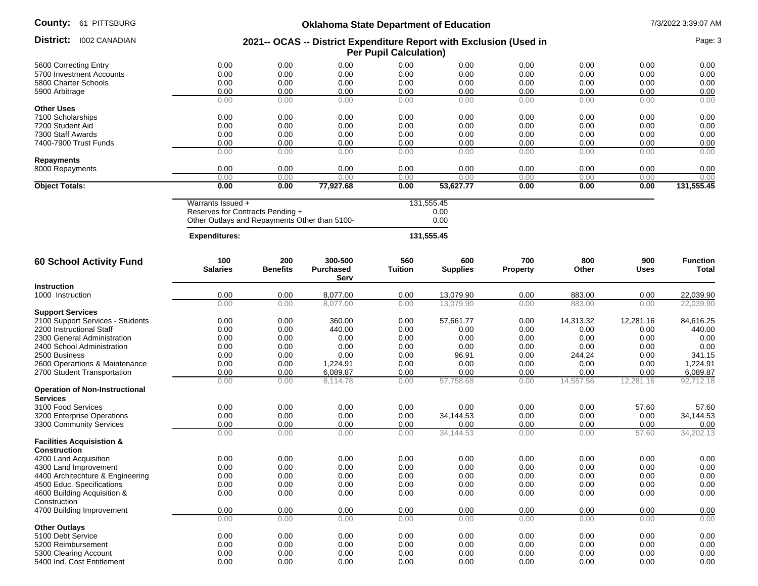| County:<br>61 PITTSBURG                                       | <b>Oklahoma State Department of Education</b><br>2021-- OCAS -- District Expenditure Report with Exclusion (Used in<br><b>Per Pupil Calculation)</b> |                        |                                     |                       |                        | 7/3/2022 3:39:07 AM |              |                    |                          |
|---------------------------------------------------------------|------------------------------------------------------------------------------------------------------------------------------------------------------|------------------------|-------------------------------------|-----------------------|------------------------|---------------------|--------------|--------------------|--------------------------|
| District:<br><b>I002 CANADIAN</b>                             |                                                                                                                                                      |                        |                                     |                       |                        |                     | Page: 3      |                    |                          |
| 5600 Correcting Entry                                         | 0.00                                                                                                                                                 | 0.00                   | 0.00                                | 0.00                  | 0.00                   | 0.00                | 0.00         | 0.00               | 0.00                     |
| 5700 Investment Accounts                                      | 0.00                                                                                                                                                 | 0.00                   | 0.00                                | 0.00                  | 0.00                   | 0.00                | 0.00         | 0.00               | 0.00                     |
| 5800 Charter Schools                                          | 0.00                                                                                                                                                 | 0.00                   | 0.00                                | 0.00                  | 0.00                   | 0.00                | 0.00         | 0.00               | 0.00                     |
| 5900 Arbitrage                                                | 0.00                                                                                                                                                 | 0.00                   | 0.00                                | 0.00                  | 0.00                   | 0.00                | 0.00         | 0.00               | 0.00                     |
|                                                               | 0.00                                                                                                                                                 | 0.00                   | 0.00                                | 0.00                  | 0.00                   | 0.00                | 0.00         | 0.00               | 0.00                     |
| <b>Other Uses</b>                                             |                                                                                                                                                      |                        |                                     |                       |                        |                     |              |                    |                          |
| 7100 Scholarships                                             | 0.00                                                                                                                                                 | 0.00                   | 0.00                                | 0.00                  | 0.00                   | 0.00                | 0.00         | 0.00               | 0.00                     |
| 7200 Student Aid                                              | 0.00                                                                                                                                                 | 0.00                   | 0.00                                | 0.00                  | 0.00                   | 0.00                | 0.00         | 0.00               | 0.00                     |
| 7300 Staff Awards                                             | 0.00                                                                                                                                                 | 0.00                   | 0.00                                | 0.00                  | 0.00                   | 0.00                | 0.00         | 0.00               | 0.00                     |
| 7400-7900 Trust Funds                                         | 0.00<br>0.00                                                                                                                                         | 0.00<br>0.00           | 0.00                                | 0.00<br>0.00          | 0.00<br>0.00           | 0.00<br>0.00        | 0.00         | 0.00<br>0.00       | 0.00<br>0.00             |
| <b>Repayments</b>                                             |                                                                                                                                                      |                        | 0.00                                |                       |                        |                     | 0.00         |                    |                          |
| 8000 Repayments                                               | 0.00                                                                                                                                                 | 0.00                   | 0.00                                | 0.00                  | 0.00                   | 0.00                | 0.00         | 0.00               | 0.00                     |
|                                                               | 0.00                                                                                                                                                 | 0.00                   | 0.00                                | 0.00                  | 0.00                   | 0.00                | 0.00         | 0.00               | 0.00                     |
| <b>Object Totals:</b>                                         | 0.00                                                                                                                                                 | 0.00                   | 77,927.68                           | 0.00                  | 53,627.77              | 0.00                | 0.00         | 0.00               | 131,555.45               |
|                                                               | Warrants Issued +<br>Reserves for Contracts Pending +<br>Other Outlays and Repayments Other than 5100-                                               |                        | 131,555.45<br>0.00<br>0.00          |                       |                        |                     |              |                    |                          |
|                                                               | <b>Expenditures:</b>                                                                                                                                 |                        |                                     |                       | 131,555.45             |                     |              |                    |                          |
| 60 School Activity Fund                                       | 100<br><b>Salaries</b>                                                                                                                               | 200<br><b>Benefits</b> | 300-500<br><b>Purchased</b><br>Serv | 560<br><b>Tuition</b> | 600<br><b>Supplies</b> | 700<br>Property     | 800<br>Other | 900<br><b>Uses</b> | <b>Function</b><br>Total |
| <b>Instruction</b>                                            |                                                                                                                                                      |                        |                                     |                       |                        |                     |              |                    |                          |
| 1000 Instruction                                              | 0.00                                                                                                                                                 | 0.00                   | 8,077.00                            | 0.00                  | 13,079.90              | 0.00                | 883.00       | 0.00               | 22,039.90                |
|                                                               | 0.00                                                                                                                                                 | 0.00                   | 8,077.00                            | 0.00                  | 13,079.90              | 0.00                | 883.00       | 0.00               | 22,039.90                |
| <b>Support Services</b>                                       |                                                                                                                                                      |                        |                                     |                       |                        |                     |              |                    |                          |
| 2100 Support Services - Students                              | 0.00                                                                                                                                                 | 0.00                   | 360.00                              | 0.00                  | 57,661.77              | 0.00                | 14,313.32    | 12,281.16          | 84,616.25                |
| 2200 Instructional Staff                                      | 0.00                                                                                                                                                 | 0.00                   | 440.00                              | 0.00                  | 0.00                   | 0.00                | 0.00         | 0.00               | 440.00                   |
| 2300 General Administration                                   | 0.00                                                                                                                                                 | 0.00                   | 0.00                                | 0.00                  | 0.00                   | 0.00                | 0.00         | 0.00               | 0.00                     |
| 2400 School Administration                                    | 0.00                                                                                                                                                 | 0.00                   | 0.00                                | 0.00                  | 0.00                   | 0.00                | 0.00         | 0.00               | 0.00                     |
| 2500 Business                                                 | 0.00                                                                                                                                                 | 0.00                   | 0.00                                | 0.00                  | 96.91<br>0.00          | 0.00                | 244.24       | 0.00               | 341.15                   |
| 2600 Operartions & Maintenance<br>2700 Student Transportation | 0.00<br>0.00                                                                                                                                         | 0.00<br>0.00           | 1,224.91<br>6,089.87                | 0.00<br>0.00          | 0.00                   | 0.00<br>0.00        | 0.00<br>0.00 | 0.00<br>0.00       | 1,224.91<br>6,089.87     |
|                                                               | 0.00                                                                                                                                                 | 0.00                   | 8,114.78                            | 0.00                  | 57,758.68              | 0.00                | 14,557.56    | 12,281.16          | 92,712.18                |
| <b>Operation of Non-Instructional</b><br><b>Services</b>      |                                                                                                                                                      |                        |                                     |                       |                        |                     |              |                    |                          |
| 3100 Food Services                                            | 0.00                                                                                                                                                 | 0.00                   | 0.00                                | 0.00                  | 0.00                   | 0.00                | 0.00         | 57.60              | 57.60                    |
| 3200 Enterprise Operations                                    | 0.00                                                                                                                                                 | 0.00                   | 0.00                                | 0.00                  | 34,144.53              | 0.00                | 0.00         | 0.00               | 34,144.53                |
| 3300 Community Services                                       | 0.00                                                                                                                                                 | 0.00                   | 0.00                                | 0.00                  | 0.00                   | 0.00                | 0.00         | 0.00               | 0.00                     |
| <b>Facilities Acquisistion &amp;</b>                          | 0.00                                                                                                                                                 | 0.00                   | 0.00                                | 0.00                  | 34.144.53              | 0.00                | 0.00         | 57.60              | 34,202.13                |
| Construction                                                  |                                                                                                                                                      |                        |                                     |                       |                        |                     |              |                    |                          |
| 4200 Land Acquisition                                         | 0.00                                                                                                                                                 | 0.00                   | 0.00                                | 0.00                  | 0.00                   | 0.00                | 0.00         | 0.00               | 0.00                     |
| 4300 Land Improvement                                         | 0.00                                                                                                                                                 | 0.00                   | 0.00                                | 0.00                  | 0.00                   | 0.00                | 0.00         | 0.00               | 0.00                     |
| 4400 Architechture & Engineering                              | 0.00                                                                                                                                                 | 0.00                   | 0.00                                | 0.00                  | 0.00                   | 0.00                | 0.00         | 0.00               | 0.00                     |
| 4500 Educ. Specifications                                     | 0.00                                                                                                                                                 | 0.00                   | 0.00                                | 0.00                  | 0.00                   | 0.00                | 0.00         | 0.00               | 0.00                     |
| 4600 Building Acquisition &                                   | 0.00                                                                                                                                                 | 0.00                   | 0.00                                | 0.00                  | 0.00                   | 0.00                | 0.00         | 0.00               | 0.00                     |
| Construction                                                  | 0.00                                                                                                                                                 | 0.00                   | 0.00                                | 0.00                  | 0.00                   | 0.00                | 0.00         | 0.00               | 0.00                     |
| 4700 Building Improvement                                     | 0.00                                                                                                                                                 | 0.00                   | 0.00                                | 0.00                  | 0.00                   | 0.00                | 0.00         | 0.00               | 0.00                     |
| <b>Other Outlays</b>                                          |                                                                                                                                                      |                        |                                     |                       |                        |                     |              |                    |                          |
| 5100 Debt Service                                             | 0.00                                                                                                                                                 | 0.00                   | 0.00                                | 0.00                  | 0.00                   | 0.00                | 0.00         | 0.00               | 0.00                     |
| 5200 Reimbursement                                            | 0.00                                                                                                                                                 | 0.00                   | 0.00                                | 0.00                  | 0.00                   | 0.00                | 0.00         | 0.00               | 0.00                     |
| 5300 Clearing Account                                         | 0.00                                                                                                                                                 | 0.00                   | 0.00                                | 0.00                  | 0.00                   | 0.00                | 0.00         | 0.00               | 0.00                     |
| 5400 Ind. Cost Entitlement                                    | 0.00                                                                                                                                                 | 0.00                   | 0.00                                | 0.00                  | 0.00                   | 0.00                | 0.00         | 0.00               | 0.00                     |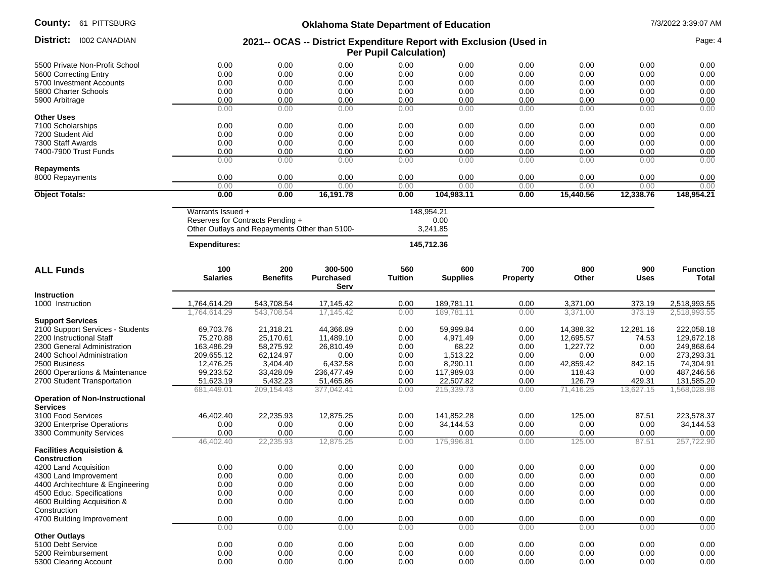# **Oklahoma State Department of Education** 7/3/2022 3:39:07 AM

| 0111100010                                               |                                                                                                                                          |                 | Okianoma State Department or Education |                |                 |          |           |             | ויוח וט.טט.ט בשעבוטו |
|----------------------------------------------------------|------------------------------------------------------------------------------------------------------------------------------------------|-----------------|----------------------------------------|----------------|-----------------|----------|-----------|-------------|----------------------|
| <b>District:</b> 1002 CANADIAN                           | 2021-- OCAS -- District Expenditure Report with Exclusion (Used in<br><b>Per Pupil Calculation)</b>                                      |                 |                                        |                |                 |          |           | Page: 4     |                      |
| 5500 Private Non-Profit School                           | 0.00                                                                                                                                     | 0.00            | 0.00                                   | 0.00           | 0.00            | 0.00     | 0.00      | 0.00        | 0.00                 |
| 5600 Correcting Entry                                    | 0.00                                                                                                                                     | 0.00            | 0.00                                   | 0.00           | 0.00            | 0.00     | 0.00      | 0.00        | 0.00                 |
| 5700 Investment Accounts                                 | 0.00                                                                                                                                     | 0.00            | 0.00                                   | 0.00           | 0.00            | 0.00     | 0.00      | 0.00        | 0.00                 |
| 5800 Charter Schools                                     | 0.00                                                                                                                                     | 0.00            | 0.00                                   | 0.00           | 0.00            | 0.00     | 0.00      | 0.00        | 0.00                 |
| 5900 Arbitrage                                           | 0.00                                                                                                                                     | 0.00            | 0.00                                   | 0.00           | 0.00            | 0.00     | 0.00      | 0.00        | 0.00                 |
|                                                          | 0.00                                                                                                                                     | 0.00            | 0.00                                   | 0.00           | 0.00            | 0.00     | 0.00      | 0.00        | 0.00                 |
| <b>Other Uses</b>                                        |                                                                                                                                          |                 |                                        |                |                 |          |           |             |                      |
| 7100 Scholarships                                        | 0.00                                                                                                                                     | 0.00            | 0.00                                   | 0.00           | 0.00            | 0.00     | 0.00      | 0.00        | 0.00                 |
| 7200 Student Aid                                         | 0.00                                                                                                                                     | 0.00            | 0.00                                   | 0.00           | 0.00            | 0.00     | 0.00      | 0.00        | 0.00                 |
| 7300 Staff Awards                                        | 0.00                                                                                                                                     | 0.00            | 0.00                                   | 0.00           | 0.00            | 0.00     | 0.00      | 0.00        | 0.00                 |
| 7400-7900 Trust Funds                                    | 0.00                                                                                                                                     | 0.00            | 0.00                                   | 0.00           | 0.00            | 0.00     | 0.00      | 0.00        | 0.00                 |
|                                                          | 0.00                                                                                                                                     | 0.00            | 0.00                                   | 0.00           | 0.00            | 0.00     | 0.00      | 0.00        | 0.00                 |
| <b>Repayments</b>                                        |                                                                                                                                          |                 |                                        |                |                 |          |           |             |                      |
|                                                          | 0.00                                                                                                                                     | 0.00            | 0.00                                   | 0.00           | 0.00            | 0.00     | 0.00      | 0.00        | 0.00                 |
| 8000 Repayments                                          |                                                                                                                                          |                 |                                        |                |                 |          |           |             |                      |
|                                                          | 0.00                                                                                                                                     | 0.00            | 0.00                                   | 0.00           | 0.00            | 0.00     | 0.00      | 0.00        | 0.00                 |
| <b>Object Totals:</b>                                    | 0.00                                                                                                                                     | 0.00            | 16,191.78                              | 0.00           | 104,983.11      | 0.00     | 15,440.56 | 12,338.76   | 148,954.21           |
|                                                          | Warrants Issued +<br>148,954.21<br>Reserves for Contracts Pending +<br>0.00<br>Other Outlays and Repayments Other than 5100-<br>3,241.85 |                 |                                        |                |                 |          |           |             |                      |
|                                                          | <b>Expenditures:</b>                                                                                                                     |                 |                                        |                | 145,712.36      |          |           |             |                      |
| <b>ALL Funds</b>                                         | 100                                                                                                                                      | 200             | 300-500                                | 560            | 600             | 700      | 800       | 900         | <b>Function</b>      |
|                                                          | <b>Salaries</b>                                                                                                                          | <b>Benefits</b> | <b>Purchased</b><br>Serv               | <b>Tuition</b> | <b>Supplies</b> | Property | Other     | <b>Uses</b> | Total                |
| <b>Instruction</b>                                       |                                                                                                                                          |                 |                                        |                |                 |          |           |             |                      |
| 1000 Instruction                                         | 1,764,614.29                                                                                                                             | 543,708.54      | 17,145.42                              | 0.00           | 189,781.11      | 0.00     | 3,371.00  | 373.19      | 2,518,993.55         |
|                                                          | 1,764,614.29                                                                                                                             | 543,708.54      | 17,145.42                              | 0.00           | 189,781.11      | 0.00     | 3,371.00  | 373.19      | 2,518,993.55         |
| <b>Support Services</b>                                  |                                                                                                                                          |                 |                                        |                |                 |          |           |             |                      |
| 2100 Support Services - Students                         | 69,703.76                                                                                                                                | 21,318.21       | 44,366.89                              | 0.00           | 59,999.84       | 0.00     | 14,388.32 | 12,281.16   | 222,058.18           |
| 2200 Instructional Staff                                 | 75,270.88                                                                                                                                | 25,170.61       | 11,489.10                              | 0.00           | 4,971.49        | 0.00     | 12,695.57 | 74.53       | 129,672.18           |
| 2300 General Administration                              | 163,486.29                                                                                                                               | 58,275.92       | 26,810.49                              | 0.00           | 68.22           | 0.00     | 1,227.72  | 0.00        | 249,868.64           |
| 2400 School Administration                               | 209,655.12                                                                                                                               | 62,124.97       | 0.00                                   | 0.00           | 1,513.22        | 0.00     | 0.00      | 0.00        | 273,293.31           |
| 2500 Business                                            | 12,476.25                                                                                                                                | 3,404.40        | 6,432.58                               | 0.00           | 8,290.11        | 0.00     | 42,859.42 | 842.15      | 74,304.91            |
| 2600 Operartions & Maintenance                           | 99,233.52                                                                                                                                | 33,428.09       | 236,477.49                             | 0.00           | 117,989.03      | 0.00     | 118.43    | 0.00        | 487,246.56           |
| 2700 Student Transportation                              | 51,623.19                                                                                                                                | 5,432.23        | 51,465.86                              | 0.00           | 22,507.82       | 0.00     | 126.79    | 429.31      | 131,585.20           |
|                                                          | 681,449.01                                                                                                                               | 209,154.43      | 377,042.41                             | 0.00           | 215,339.73      | 0.00     | 71,416.25 | 13,627.15   | 1,568,028.98         |
| <b>Operation of Non-Instructional</b><br><b>Services</b> |                                                                                                                                          |                 |                                        |                |                 |          |           |             |                      |
| 3100 Food Services                                       | 46,402.40                                                                                                                                | 22,235.93       | 12,875.25                              | 0.00           | 141,852.28      | 0.00     | 125.00    | 87.51       | 223,578.37           |
| 3200 Enterprise Operations                               | 0.00                                                                                                                                     | 0.00            | 0.00                                   | 0.00           | 34,144.53       | 0.00     | 0.00      | 0.00        | 34,144.53            |
| 3300 Community Services                                  | 0.00                                                                                                                                     | 0.00            | 0.00                                   | 0.00           | 0.00            | 0.00     | 0.00      | 0.00        | 0.00                 |
|                                                          | 46.402.40                                                                                                                                | 22.235.93       | 12,875.25                              | 0.00           | 175.996.81      | 0.00     | 125.00    | 87.51       | 257.722.90           |
| <b>Facilities Acquisistion &amp;</b><br>Construction     |                                                                                                                                          |                 |                                        |                |                 |          |           |             |                      |
| 4200 Land Acquisition                                    | 0.00                                                                                                                                     | 0.00            | 0.00                                   | 0.00           | 0.00            | 0.00     | 0.00      | 0.00        | 0.00                 |
| 4300 Land Improvement                                    | 0.00                                                                                                                                     | 0.00            | 0.00                                   | 0.00           | 0.00            | 0.00     | 0.00      | 0.00        | 0.00                 |
| 4400 Architechture & Engineering                         | 0.00                                                                                                                                     | 0.00            | 0.00                                   | 0.00           | 0.00            | 0.00     | 0.00      | 0.00        | 0.00                 |
| 4500 Educ. Specifications                                | 0.00                                                                                                                                     | 0.00            | 0.00                                   | 0.00           | 0.00            | 0.00     | 0.00      | 0.00        | 0.00                 |
| 4600 Building Acquisition &                              | 0.00                                                                                                                                     | 0.00            | 0.00                                   | 0.00           | 0.00            | 0.00     | 0.00      | 0.00        | 0.00                 |
| Construction                                             |                                                                                                                                          |                 |                                        |                |                 |          |           |             |                      |
| 4700 Building Improvement                                | 0.00                                                                                                                                     | 0.00            | 0.00                                   | 0.00           | 0.00            | 0.00     | 0.00      | 0.00        | 0.00                 |
|                                                          | 0.00                                                                                                                                     | 0.00            | 0.00                                   | 0.00           | 0.00            | 0.00     | 0.00      | 0.00        | 0.00                 |
| <b>Other Outlays</b>                                     |                                                                                                                                          |                 |                                        |                |                 |          |           |             |                      |
| 5100 Debt Service                                        | 0.00                                                                                                                                     | 0.00            | 0.00                                   | 0.00           | 0.00            | 0.00     | 0.00      | 0.00        | 0.00                 |
| 5200 Reimbursement                                       | 0.00                                                                                                                                     | 0.00            | 0.00                                   | 0.00           | 0.00            | 0.00     | 0.00      | 0.00        | 0.00                 |
| 5300 Clearing Account                                    | 0.00                                                                                                                                     | 0.00            | 0.00                                   | 0.00           | 0.00            | 0.00     | 0.00      | 0.00        | 0.00                 |
|                                                          |                                                                                                                                          |                 |                                        |                |                 |          |           |             |                      |